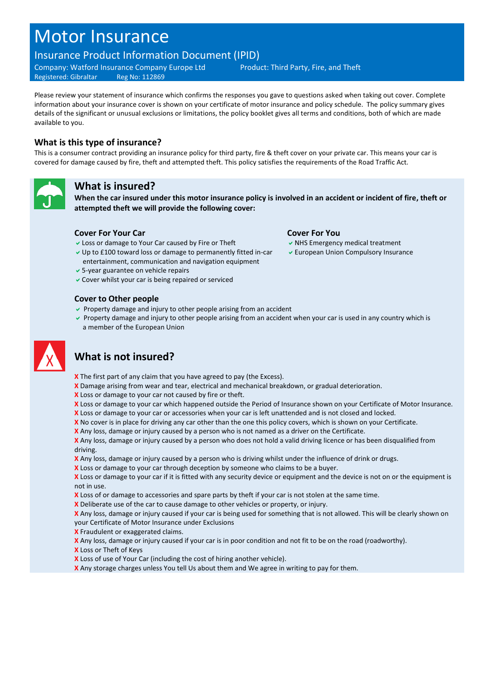# Motor Insurance

# Insurance Product Information Document (IPID)

Company: Watford Insurance Company Europe Ltd Product: Third Party, Fire, and Theft Registered: Gibraltar Reg No: 112869

Please review your statement of insurance which confirms the responses you gave to questions asked when taking out cover. Complete information about your insurance cover is shown on your certificate of motor insurance and policy schedule. The policy summary gives details of the significant or unusual exclusions or limitations, the policy booklet gives all terms and conditions, both of which are made available to you.

### **What is this type of insurance?**

This is a consumer contract providing an insurance policy for third party, fire & theft cover on your private car. This means your car is covered for damage caused by fire, theft and attempted theft. This policy satisfies the requirements of the Road Traffic Act.



### **What is insured?**

**When the car insured under this motor insurance policy is involved in an accident or incident of fire, theft or attempted theft we will provide the following cover:**

### **Cover For Your Car Cover For You**

- $\vee$  Loss or damage to Your Car caused by Fire or Theft  $\vee$  NHS Emergency medical treatment
- Up to £100 toward loss or damage to permanently fitted in-car entertainment, communication and navigation equipment
- 5-year guarantee on vehicle repairs
- Cover whilst your car is being repaired or serviced

### **Cover to Other people**

- $\triangledown$  Property damage and injury to other people arising from an accident
- Property damage and injury to other people arising from an accident when your car is used in any country which is a member of the European Union



# **What is not insured?**

- **X** The first part of any claim that you have agreed to pay (the Excess).
- **X** Damage arising from wear and tear, electrical and mechanical breakdown, or gradual deterioration.
- **X** Loss or damage to your car not caused by fire or theft.
- **X** Loss or damage to your car which happened outside the Period of Insurance shown on your Certificate of Motor Insurance.
- **X** Loss or damage to your car or accessories when your car is left unattended and is not closed and locked.
- **X** No cover is in place for driving any car other than the one this policy covers, which is shown on your Certificate.
- **X** Any loss, damage or injury caused by a person who is not named as a driver on the Certificate.

**X** Any loss, damage or injury caused by a person who does not hold a valid driving licence or has been disqualified from driving.

- **X** Any loss, damage or injury caused by a person who is driving whilst under the influence of drink or drugs.
- **X** Loss or damage to your car through deception by someone who claims to be a buyer.

**X** Loss or damage to your car if it is fitted with any security device or equipment and the device is not on or the equipment is not in use.

- **X** Loss of or damage to accessories and spare parts by theft if your car is not stolen at the same time.
- **X** Deliberate use of the car to cause damage to other vehicles or property, or injury.

**X** Any loss, damage or injury caused if your car is being used for something that is not allowed. This will be clearly shown on your Certificate of Motor Insurance under Exclusions

- **X** Fraudulent or exaggerated claims.
- **X** Any loss, damage or injury caused if your car is in poor condition and not fit to be on the road (roadworthy).
- **X** Loss or Theft of Keys
- **X** Loss of use of Your Car (including the cost of hiring another vehicle).
- **X** Any storage charges unless You tell Us about them and We agree in writing to pay for them.

- 
- European Union Compulsory Insurance